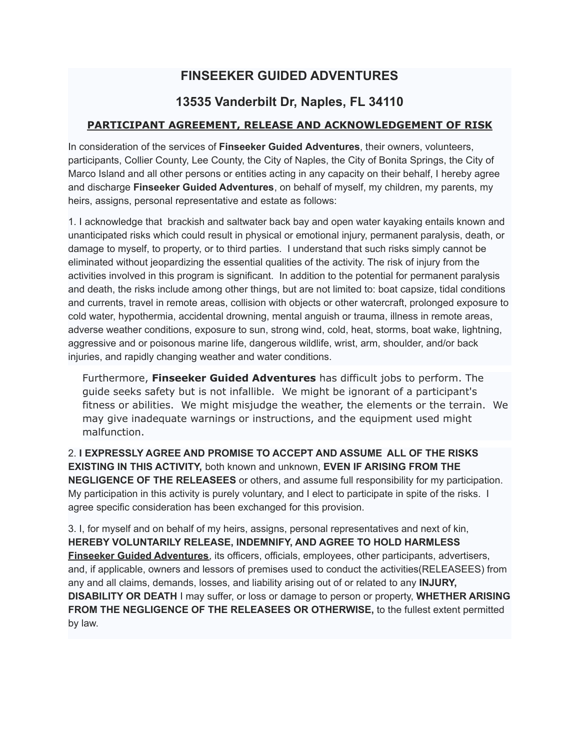# **FINSEEKER GUIDED ADVENTURES**

## **13535 Vanderbilt Dr, Naples, FL 34110**

#### **PARTICIPANT AGREEMENT, RELEASE AND ACKNOWLEDGEMENT OF RISK**

In consideration of the services of **Finseeker Guided Adventures**, their owners, volunteers, participants, Collier County, Lee County, the City of Naples, the City of Bonita Springs, the City of Marco Island and all other persons or entities acting in any capacity on their behalf, I hereby agree and discharge **Finseeker Guided Adventures**, on behalf of myself, my children, my parents, my heirs, assigns, personal representative and estate as follows:

1. I acknowledge that brackish and saltwater back bay and open water kayaking entails known and unanticipated risks which could result in physical or emotional injury, permanent paralysis, death, or damage to myself, to property, or to third parties. I understand that such risks simply cannot be eliminated without jeopardizing the essential qualities of the activity. The risk of injury from the activities involved in this program is significant. In addition to the potential for permanent paralysis and death, the risks include among other things, but are not limited to: boat capsize, tidal conditions and currents, travel in remote areas, collision with objects or other watercraft, prolonged exposure to cold water, hypothermia, accidental drowning, mental anguish or trauma, illness in remote areas, adverse weather conditions, exposure to sun, strong wind, cold, heat, storms, boat wake, lightning, aggressive and or poisonous marine life, dangerous wildlife, wrist, arm, shoulder, and/or back injuries, and rapidly changing weather and water conditions.

Furthermore, **Finseeker Guided Adventures** has difficult jobs to perform. The guide seeks safety but is not infallible. We might be ignorant of a participant's fitness or abilities. We might misjudge the weather, the elements or the terrain. We may give inadequate warnings or instructions, and the equipment used might malfunction.

2. **I EXPRESSLY AGREE AND PROMISE TO ACCEPT AND ASSUME ALL OF THE RISKS EXISTING IN THIS ACTIVITY,** both known and unknown, **EVEN IF ARISING FROM THE NEGLIGENCE OF THE RELEASEES** or others, and assume full responsibility for my participation. My participation in this activity is purely voluntary, and I elect to participate in spite of the risks. I agree specific consideration has been exchanged for this provision.

3. I, for myself and on behalf of my heirs, assigns, personal representatives and next of kin, **HEREBY VOLUNTARILY RELEASE, INDEMNIFY, AND AGREE TO HOLD HARMLESS Finseeker Guided Adventures**, its officers, officials, employees, other participants, advertisers, and, if applicable, owners and lessors of premises used to conduct the activities(RELEASEES) from any and all claims, demands, losses, and liability arising out of or related to any **INJURY, DISABILITY OR DEATH** I may suffer, or loss or damage to person or property, **WHETHER ARISING FROM THE NEGLIGENCE OF THE RELEASEES OR OTHERWISE,** to the fullest extent permitted by law.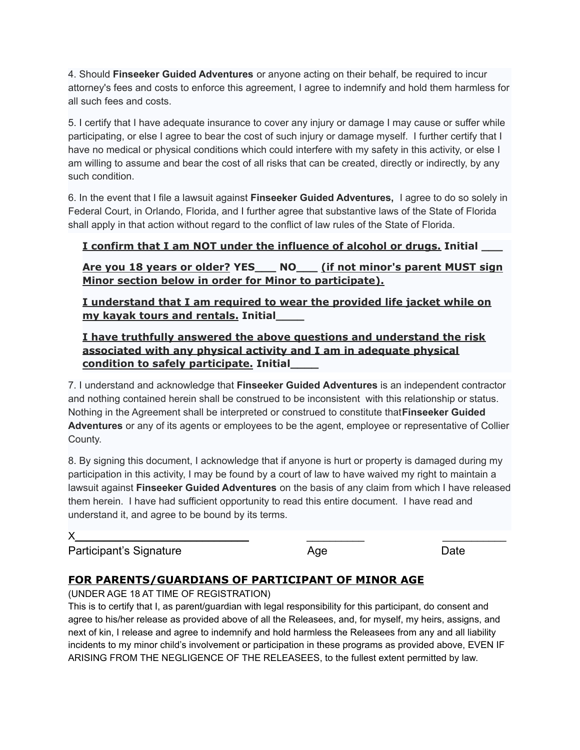4. Should **Finseeker Guided Adventures** or anyone acting on their behalf, be required to incur attorney's fees and costs to enforce this agreement, I agree to indemnify and hold them harmless for all such fees and costs.

5. I certify that I have adequate insurance to cover any injury or damage I may cause or suffer while participating, or else I agree to bear the cost of such injury or damage myself. I further certify that I have no medical or physical conditions which could interfere with my safety in this activity, or else I am willing to assume and bear the cost of all risks that can be created, directly or indirectly, by any such condition.

6. In the event that I file a lawsuit against **Finseeker Guided Adventures,** I agree to do so solely in Federal Court, in Orlando, Florida, and I further agree that substantive laws of the State of Florida shall apply in that action without regard to the conflict of law rules of the State of Florida.

### **I confirm that I am NOT under the influence of alcohol or drugs. Initial \_\_\_**

**Are you 18 years or older? YES\_\_\_ NO\_\_\_ (if not minor's parent MUST sign Minor section below in order for Minor to participate).**

**I understand that I am required to wear the provided life jacket while on my kayak tours and rentals. Initial\_\_\_\_**

**I have truthfully answered the above questions and understand the risk associated with any physical activity and I am in adequate physical condition to safely participate. Initial\_\_\_\_**

7. I understand and acknowledge that **Finseeker Guided Adventures** is an independent contractor and nothing contained herein shall be construed to be inconsistent with this relationship or status. Nothing in the Agreement shall be interpreted or construed to constitute that**Finseeker Guided Adventures** or any of its agents or employees to be the agent, employee or representative of Collier County.

8. By signing this document, I acknowledge that if anyone is hurt or property is damaged during my participation in this activity, I may be found by a court of law to have waived my right to maintain a lawsuit against **Finseeker Guided Adventures** on the basis of any claim from which I have released them herein. I have had sufficient opportunity to read this entire document. I have read and understand it, and agree to be bound by its terms.

Participant's Signature **Age Age Date** Date

## **FOR PARENTS/GUARDIANS OF PARTICIPANT OF MINOR AGE**

(UNDER AGE 18 AT TIME OF REGISTRATION)

This is to certify that I, as parent/guardian with legal responsibility for this participant, do consent and agree to his/her release as provided above of all the Releasees, and, for myself, my heirs, assigns, and next of kin, I release and agree to indemnify and hold harmless the Releasees from any and all liability incidents to my minor child's involvement or participation in these programs as provided above, EVEN IF ARISING FROM THE NEGLIGENCE OF THE RELEASEES, to the fullest extent permitted by law.